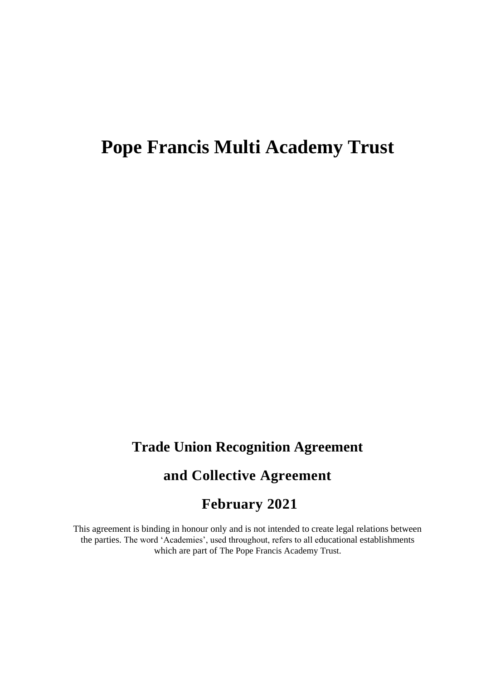# **Pope Francis Multi Academy Trust**

## **Trade Union Recognition Agreement**

## **and Collective Agreement**

### **February 2021**

This agreement is binding in honour only and is not intended to create legal relations between the parties. The word 'Academies', used throughout, refers to all educational establishments which are part of The Pope Francis Academy Trust.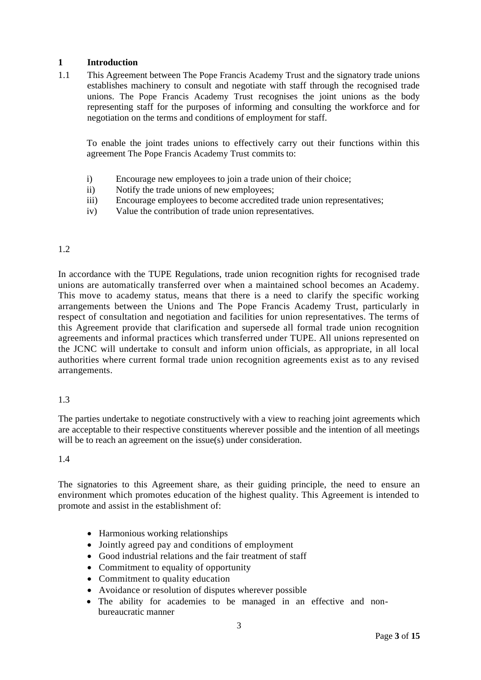#### **1 Introduction**

1.1 This Agreement between The Pope Francis Academy Trust and the signatory trade unions establishes machinery to consult and negotiate with staff through the recognised trade unions. The Pope Francis Academy Trust recognises the joint unions as the body representing staff for the purposes of informing and consulting the workforce and for negotiation on the terms and conditions of employment for staff.

To enable the joint trades unions to effectively carry out their functions within this agreement The Pope Francis Academy Trust commits to:

- i) Encourage new employees to join a trade union of their choice;
- ii) Notify the trade unions of new employees;
- iii) Encourage employees to become accredited trade union representatives;
- iv) Value the contribution of trade union representatives.

#### 1.2

In accordance with the TUPE Regulations, trade union recognition rights for recognised trade unions are automatically transferred over when a maintained school becomes an Academy. This move to academy status, means that there is a need to clarify the specific working arrangements between the Unions and The Pope Francis Academy Trust, particularly in respect of consultation and negotiation and facilities for union representatives. The terms of this Agreement provide that clarification and supersede all formal trade union recognition agreements and informal practices which transferred under TUPE. All unions represented on the JCNC will undertake to consult and inform union officials, as appropriate, in all local authorities where current formal trade union recognition agreements exist as to any revised arrangements.

#### 1.3

The parties undertake to negotiate constructively with a view to reaching joint agreements which are acceptable to their respective constituents wherever possible and the intention of all meetings will be to reach an agreement on the issue(s) under consideration.

#### 1.4

The signatories to this Agreement share, as their guiding principle, the need to ensure an environment which promotes education of the highest quality. This Agreement is intended to promote and assist in the establishment of:

- Harmonious working relationships
- Jointly agreed pay and conditions of employment
- Good industrial relations and the fair treatment of staff
- Commitment to equality of opportunity
- Commitment to quality education
- Avoidance or resolution of disputes wherever possible
- The ability for academies to be managed in an effective and nonbureaucratic manner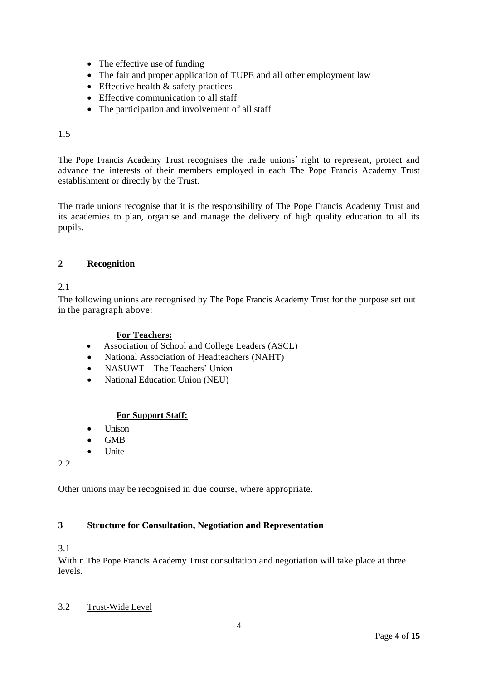- The effective use of funding
- The fair and proper application of TUPE and all other employment law
- Effective health & safety practices
- Effective communication to all staff
- The participation and involvement of all staff

#### 1.5

The Pope Francis Academy Trust recognises the trade unions' right to represent, protect and advance the interests of their members employed in each The Pope Francis Academy Trust establishment or directly by the Trust.

The trade unions recognise that it is the responsibility of The Pope Francis Academy Trust and its academies to plan, organise and manage the delivery of high quality education to all its pupils.

#### **2 Recognition**

#### 2.1

The following unions are recognised by The Pope Francis Academy Trust for the purpose set out in the paragraph above:

#### **For Teachers:**

- Association of School and College Leaders (ASCL)
- National Association of Headteachers (NAHT)
- NASUWT The Teachers' Union
- National Education Union (NEU)

#### **For Support Staff:**

- Unison
- GMB
- Unite

2.2

Other unions may be recognised in due course, where appropriate.

#### **3 Structure for Consultation, Negotiation and Representation**

#### 3.1

Within The Pope Francis Academy Trust consultation and negotiation will take place at three levels.

#### 3.2 Trust-Wide Level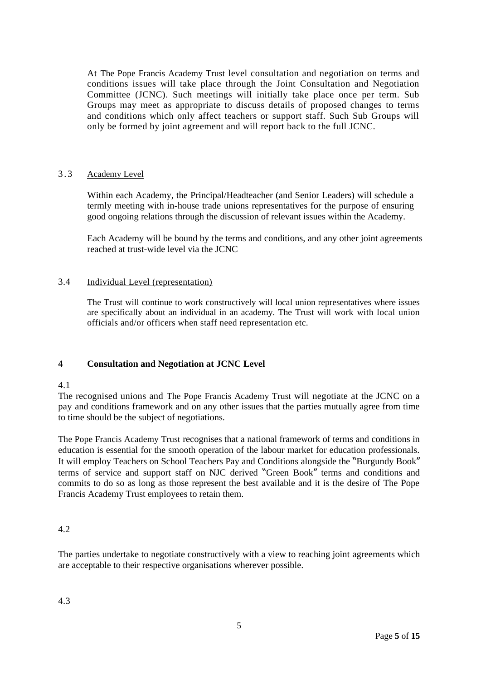At The Pope Francis Academy Trust level consultation and negotiation on terms and conditions issues will take place through the Joint Consultation and Negotiation Committee (JCNC). Such meetings will initially take place once per term. Sub Groups may meet as appropriate to discuss details of proposed changes to terms and conditions which only affect teachers or support staff. Such Sub Groups will only be formed by joint agreement and will report back to the full JCNC.

#### 3 .3 Academy Level

Within each Academy, the Principal/Headteacher (and Senior Leaders) will schedule a termly meeting with in-house trade unions representatives for the purpose of ensuring good ongoing relations through the discussion of relevant issues within the Academy.

Each Academy will be bound by the terms and conditions, and any other joint agreements reached at trust-wide level via the JCNC

#### 3.4 Individual Level (representation)

The Trust will continue to work constructively will local union representatives where issues are specifically about an individual in an academy. The Trust will work with local union officials and/or officers when staff need representation etc.

#### **4 Consultation and Negotiation at JCNC Level**

#### 4.1

The recognised unions and The Pope Francis Academy Trust will negotiate at the JCNC on a pay and conditions framework and on any other issues that the parties mutually agree from time to time should be the subject of negotiations.

The Pope Francis Academy Trust recognises that a national framework of terms and conditions in education is essential for the smooth operation of the labour market for education professionals. It will employ Teachers on School Teachers Pay and Conditions alongside the "Burgundy Book" terms of service and support staff on NJC derived "Green Book" terms and conditions and commits to do so as long as those represent the best available and it is the desire of The Pope Francis Academy Trust employees to retain them.

#### 4.2

The parties undertake to negotiate constructively with a view to reaching joint agreements which are acceptable to their respective organisations wherever possible.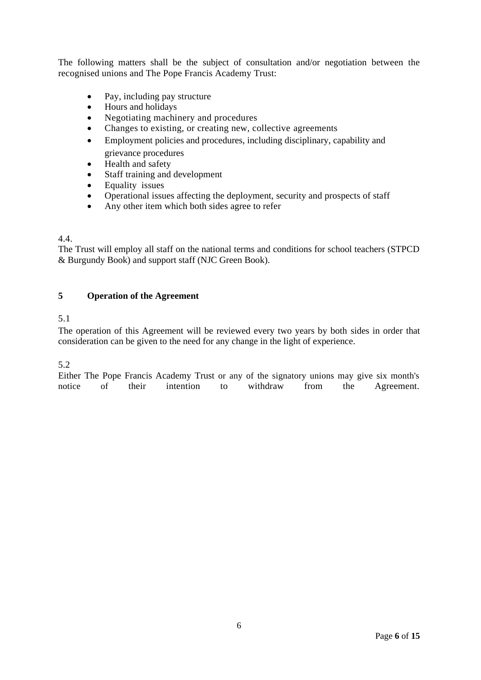The following matters shall be the subject of consultation and/or negotiation between the recognised unions and The Pope Francis Academy Trust:

- Pay, including pay structure
- Hours and holidays
- Negotiating machinery and procedures
- Changes to existing, or creating new, collective agreements
- Employment policies and procedures, including disciplinary, capability and grievance procedures
- Health and safety
- Staff training and development
- Equality issues
- Operational issues affecting the deployment, security and prospects of staff
- Any other item which both sides agree to refer

#### 4.4.

The Trust will employ all staff on the national terms and conditions for school teachers (STPCD & Burgundy Book) and support staff (NJC Green Book).

#### **5 Operation of the Agreement**

#### 5.1

The operation of this Agreement will be reviewed every two years by both sides in order that consideration can be given to the need for any change in the light of experience.

#### 5.2

Either The Pope Francis Academy Trust or any of the signatory unions may give six month's notice of their intention to withdraw from the Agreement.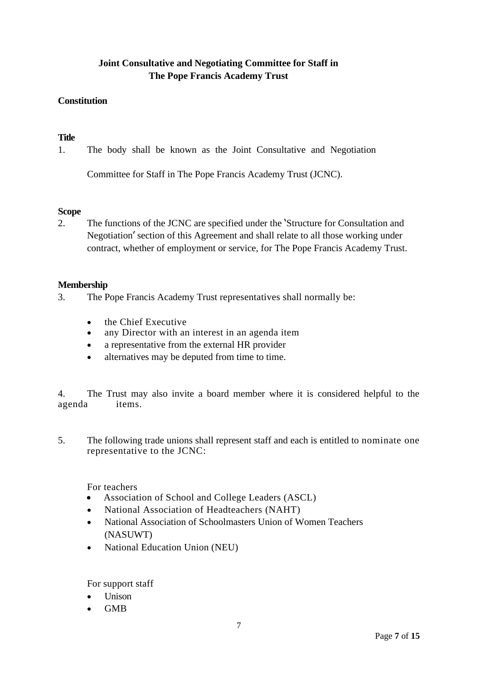#### **Joint Consultative and Negotiating Committee for Staff in The Pope Francis Academy Trust**

#### **Constitution**

#### **Title**

1. The body shall be known as the Joint Consultative and Negotiation

Committee for Staff in The Pope Francis Academy Trust (JCNC).

#### **Scope**

2. The functions of the JCNC are specified under the 'Structure for Consultation and Negotiation' section of this Agreement and shall relate to all those working under contract, whether of employment or service, for The Pope Francis Academy Trust.

#### **Membership**

- 3. The Pope Francis Academy Trust representatives shall normally be:
	- the Chief Executive
	- any Director with an interest in an agenda item
	- a representative from the external HR provider
	- alternatives may be deputed from time to time.

4. The Trust may also invite a board member where it is considered helpful to the agenda items.

5. The following trade unions shall represent staff and each is entitled to nominate one representative to the JCNC:

For teachers

- Association of School and College Leaders (ASCL)
- National Association of Headteachers (NAHT)
- National Association of Schoolmasters Union of Women Teachers (NASUWT)
- National Education Union (NEU)

For support staff

- Unison
- GMB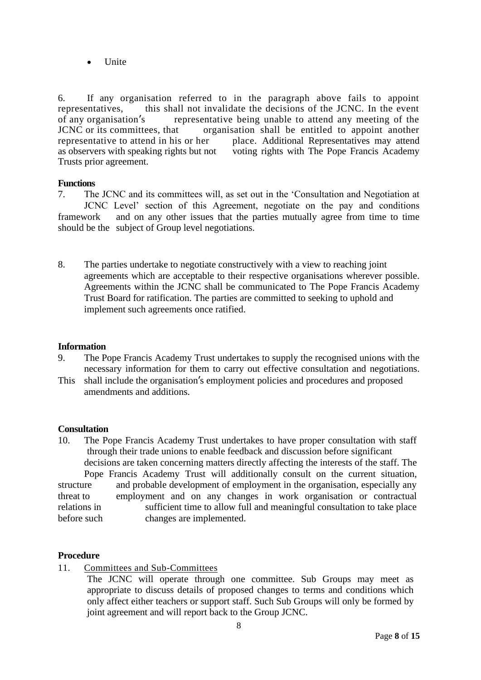• Unite

6. If any organisation referred to in the paragraph above fails to appoint representatives, this shall not invalidate the decisions of the JCNC. In the event of any organisation's representative being unable to attend any meeting of the JCNC or its committees, that organisation shall be entitled to appoint another representative to attend in his or her place. Additional Representatives may attend place. Additional Representatives may attend as observers with speaking rights but not voting rights with The Pope Francis Academy Trusts prior agreement.

#### **Functions**

7. The JCNC and its committees will, as set out in the 'Consultation and Negotiation at JCNC Level' section of this Agreement, negotiate on the pay and conditions framework and on any other issues that the parties mutually agree from time to time should be the subject of Group level negotiations.

8. The parties undertake to negotiate constructively with a view to reaching joint agreements which are acceptable to their respective organisations wherever possible. Agreements within the JCNC shall be communicated to The Pope Francis Academy Trust Board for ratification. The parties are committed to seeking to uphold and implement such agreements once ratified.

#### **Information**

- 9. The Pope Francis Academy Trust undertakes to supply the recognised unions with the necessary information for them to carry out effective consultation and negotiations.
- This shall include the organisation's employment policies and procedures and proposed amendments and additions.

#### **Consultation**

10. The Pope Francis Academy Trust undertakes to have proper consultation with staff through their trade unions to enable feedback and discussion before significant decisions are taken concerning matters directly affecting the interests of the staff. The Pope Francis Academy Trust will additionally consult on the current situation, structure and probable development of employment in the organisation, especially any threat to employment and on any changes in work organisation or contractual relations in sufficient time to allow full and meaningful consultation to take place before such changes are implemented.

#### **Procedure**

- 11. Committees and Sub-Committees
	- The JCNC will operate through one committee. Sub Groups may meet as appropriate to discuss details of proposed changes to terms and conditions which only affect either teachers or support staff. Such Sub Groups will only be formed by joint agreement and will report back to the Group JCNC.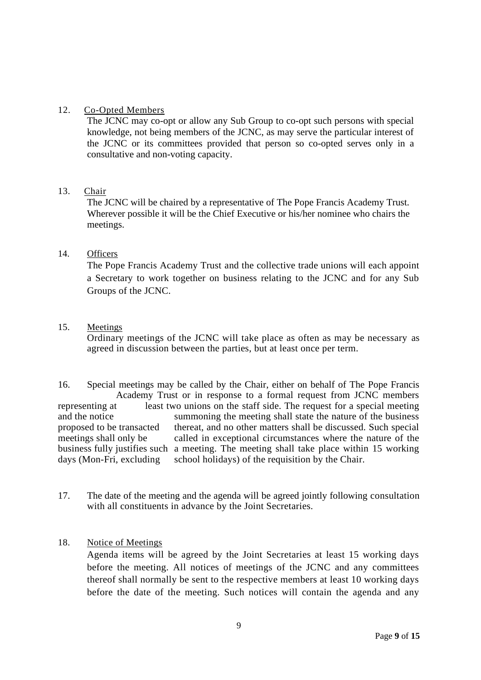#### 12. Co-Opted Members

The JCNC may co-opt or allow any Sub Group to co-opt such persons with special knowledge, not being members of the JCNC, as may serve the particular interest of the JCNC or its committees provided that person so co-opted serves only in a consultative and non-voting capacity.

#### 13. Chair

The JCNC will be chaired by a representative of The Pope Francis Academy Trust. Wherever possible it will be the Chief Executive or his/her nominee who chairs the meetings.

#### 14. Officers

The Pope Francis Academy Trust and the collective trade unions will each appoint a Secretary to work together on business relating to the JCNC and for any Sub Groups of the JCNC.

#### 15. Meetings

Ordinary meetings of the JCNC will take place as often as may be necessary as agreed in discussion between the parties, but at least once per term.

16. Special meetings may be called by the Chair, either on behalf of The Pope Francis Academy Trust or in response to a formal request from JCNC members representing at least two unions on the staff side. The request for a special meeting and the notice summoning the meeting shall state the nature of the business proposed to be transacted thereat, and no other matters shall be discussed. Such special meetings shall only be called in exceptional circumstances where the nature of the business fully justifies such a meeting. The meeting shall take place within 15 working days (Mon-Fri, excluding school holidays) of the requisition by the Chair.

17. The date of the meeting and the agenda will be agreed jointly following consultation with all constituents in advance by the Joint Secretaries.

#### 18. Notice of Meetings

Agenda items will be agreed by the Joint Secretaries at least 15 working days before the meeting. All notices of meetings of the JCNC and any committees thereof shall normally be sent to the respective members at least 10 working days before the date of the meeting. Such notices will contain the agenda and any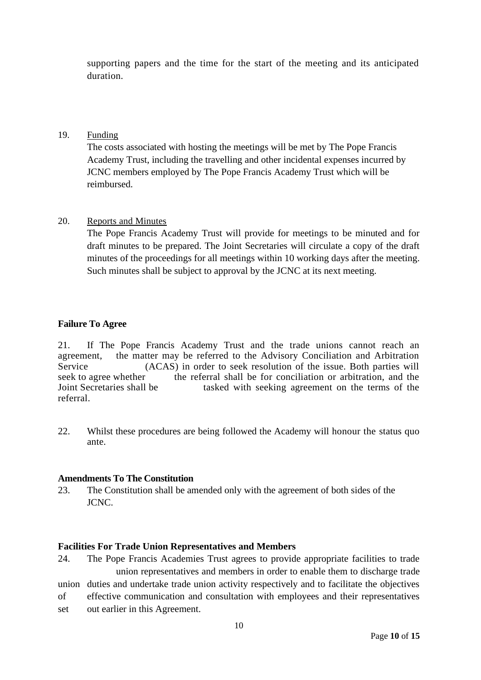supporting papers and the time for the start of the meeting and its anticipated duration.

#### 19. Funding

The costs associated with hosting the meetings will be met by The Pope Francis Academy Trust, including the travelling and other incidental expenses incurred by JCNC members employed by The Pope Francis Academy Trust which will be reimbursed.

#### 20. Reports and Minutes

The Pope Francis Academy Trust will provide for meetings to be minuted and for draft minutes to be prepared. The Joint Secretaries will circulate a copy of the draft minutes of the proceedings for all meetings within 10 working days after the meeting. Such minutes shall be subject to approval by the JCNC at its next meeting.

#### **Failure To Agree**

21. If The Pope Francis Academy Trust and the trade unions cannot reach an agreement, the matter may be referred to the Advisory Conciliation and Arbitration<br>Service (ACAS) in order to seek resolution of the issue. Both parties will  $(ACAS)$  in order to seek resolution of the issue. Both parties will seek to agree whether the referral shall be for conciliation or arbitration, and the Joint Secretaries shall be tasked with seeking agreement on the terms of the referral.

22. Whilst these procedures are being followed the Academy will honour the status quo ante.

#### **Amendments To The Constitution**

23. The Constitution shall be amended only with the agreement of both sides of the JCNC.

#### **Facilities For Trade Union Representatives and Members**

24. The Pope Francis Academies Trust agrees to provide appropriate facilities to trade union representatives and members in order to enable them to discharge trade union duties and undertake trade union activity respectively and to facilitate the objectives of effective communication and consultation with employees and their representatives set out earlier in this Agreement.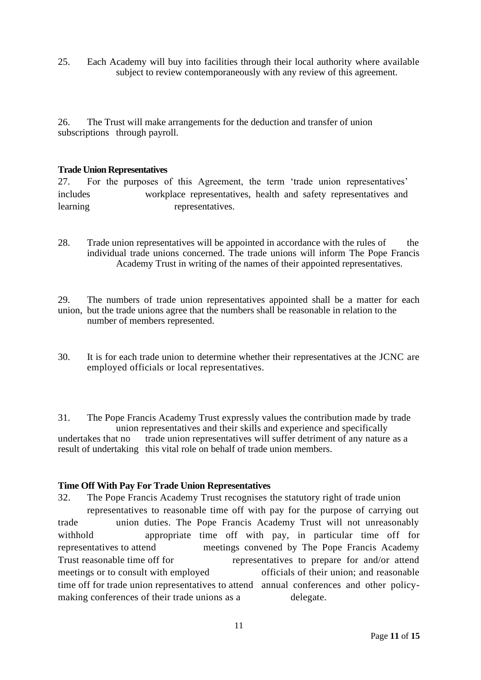25. Each Academy will buy into facilities through their local authority where available subject to review contemporaneously with any review of this agreement.

26. The Trust will make arrangements for the deduction and transfer of union subscriptions through payroll.

#### **Trade Union Representatives**

27. For the purposes of this Agreement, the term 'trade union representatives' includes workplace representatives, health and safety representatives and learning representatives.

28. Trade union representatives will be appointed in accordance with the rules of the individual trade unions concerned. The trade unions will inform The Pope Francis Academy Trust in writing of the names of their appointed representatives.

29. The numbers of trade union representatives appointed shall be a matter for each union, but the trade unions agree that the numbers shall be reasonable in relation to the number of members represented.

30. It is for each trade union to determine whether their representatives at the JCNC are employed officials or local representatives.

31. The Pope Francis Academy Trust expressly values the contribution made by trade union representatives and their skills and experience and specifically undertakes that no trade union representatives will suffer detriment of any nature as a result of undertaking this vital role on behalf of trade union members.

#### **Time Off With Pay For Trade Union Representatives**

32. The Pope Francis Academy Trust recognises the statutory right of trade union representatives to reasonable time off with pay for the purpose of carrying out trade union duties. The Pope Francis Academy Trust will not unreasonably withhold appropriate time off with pay, in particular time off for representatives to attend meetings convened by The Pope Francis Academy Trust reasonable time off for representatives to prepare for and/or attend meetings or to consult with employed officials of their union; and reasonable time off for trade union representatives to attend annual conferences and other policymaking conferences of their trade unions as a delegate.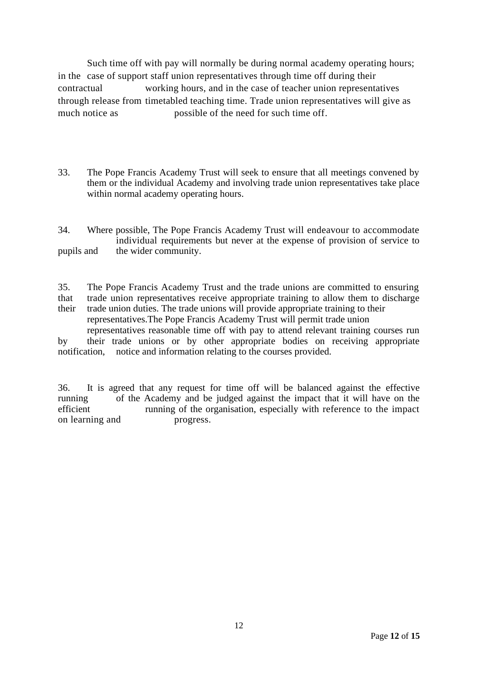Such time off with pay will normally be during normal academy operating hours; in the case of support staff union representatives through time off during their contractual working hours, and in the case of teacher union representatives through release from timetabled teaching time. Trade union representatives will give as much notice as **possible of the need for such time off.** 

33. The Pope Francis Academy Trust will seek to ensure that all meetings convened by them or the individual Academy and involving trade union representatives take place within normal academy operating hours.

34. Where possible, The Pope Francis Academy Trust will endeavour to accommodate individual requirements but never at the expense of provision of service to pupils and the wider community.

35. The Pope Francis Academy Trust and the trade unions are committed to ensuring that trade union representatives receive appropriate training to allow them to discharge their trade union duties. The trade unions will provide appropriate training to their

representatives.The Pope Francis Academy Trust will permit trade union representatives reasonable time off with pay to attend relevant training courses run

by their trade unions or by other appropriate bodies on receiving appropriate notification, notice and information relating to the courses provided.

36. It is agreed that any request for time off will be balanced against the effective running of the Academy and be judged against the impact that it will have on the efficient running of the organisation, especially with reference to the impact on learning and progress.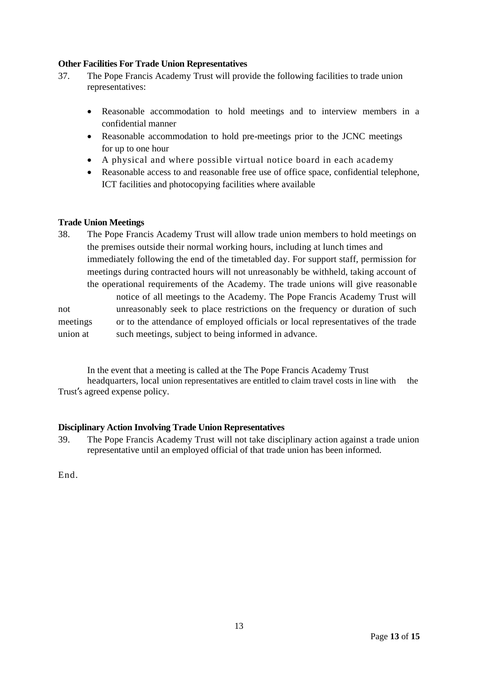#### **Other Facilities For Trade Union Representatives**

- 37. The Pope Francis Academy Trust will provide the following facilities to trade union representatives:
	- Reasonable accommodation to hold meetings and to interview members in a confidential manner
	- Reasonable accommodation to hold pre-meetings prior to the JCNC meetings for up to one hour
	- A physical and where possible virtual notice board in each academy
	- Reasonable access to and reasonable free use of office space, confidential telephone, ICT facilities and photocopying facilities where available

#### **Trade Union Meetings**

38. The Pope Francis Academy Trust will allow trade union members to hold meetings on the premises outside their normal working hours, including at lunch times and immediately following the end of the timetabled day. For support staff, permission for meetings during contracted hours will not unreasonably be withheld, taking account of the operational requirements of the Academy. The trade unions will give reasonable notice of all meetings to the Academy. The Pope Francis Academy Trust will not unreasonably seek to place restrictions on the frequency or duration of such meetings or to the attendance of employed officials or local representatives of the trade union at such meetings, subject to being informed in advance.

In the event that a meeting is called at the The Pope Francis Academy Trust

headquarters, local union representatives are entitled to claim travel costs in line with the Trust's agreed expense policy.

#### **Disciplinary Action Involving Trade Union Representatives**

39. The Pope Francis Academy Trust will not take disciplinary action against a trade union representative until an employed official of that trade union has been informed.

End.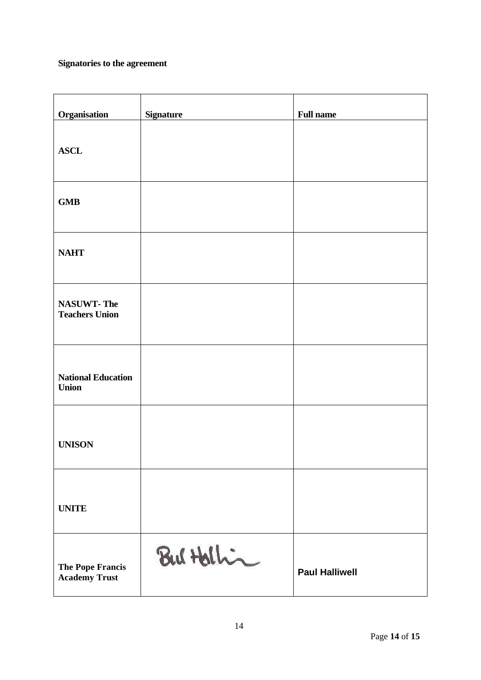### **Signatories to the agreement**

| <b>Organisation</b>                        | <b>Signature</b> | <b>Full name</b>      |
|--------------------------------------------|------------------|-----------------------|
| <b>ASCL</b>                                |                  |                       |
| <b>GMB</b>                                 |                  |                       |
| <b>NAHT</b>                                |                  |                       |
| <b>NASUWT-The</b><br><b>Teachers Union</b> |                  |                       |
| <b>National Education</b><br><b>Union</b>  |                  |                       |
| <b>UNISON</b>                              |                  |                       |
| <b>UNITE</b>                               |                  |                       |
| The Pope Francis<br><b>Academy Trust</b>   | But Hellin       | <b>Paul Halliwell</b> |